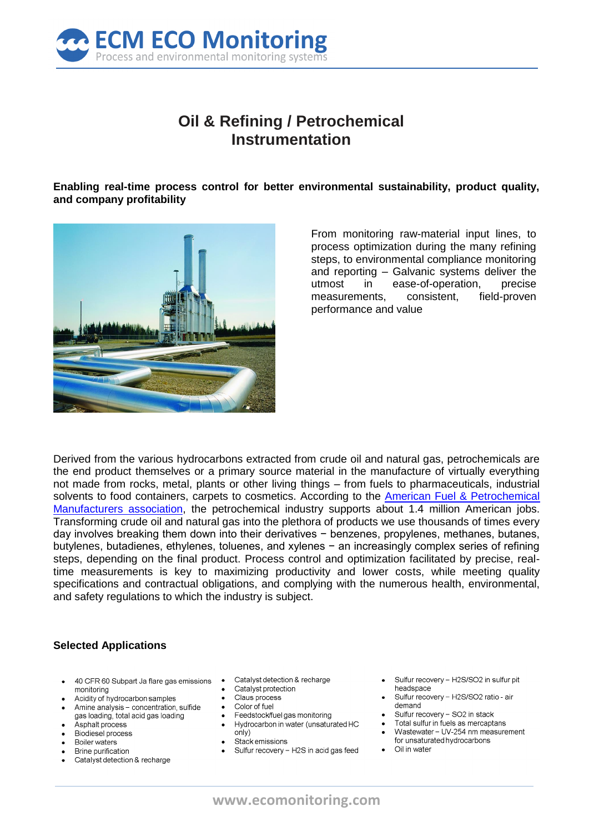

# Oil & Refining / Petrochemical Instrumentation

Enabling real-time process control for better environmental sustainability, product quality, and company profitability



From monitoring raw-material input lines, to process optimization during the many refining steps, to environmental compliance monitoring and reporting - Galvanic systems deliver the utmost in ease-of-operation, precise measurements. consistent. field-proven performance and value

Derived from the various hydrocarbons extracted from crude oil and natural gas, petrochemicals are the end product themselves or a primary source material in the manufacture of virtually everything not made from rocks, metal, plants or other living things – from fuels to pharmaceuticals, industrial solvents to food containers, carpets to cosmetics. According to the American Fuel & Petrochemical Manufacturers association, the petrochemical industry supports about 1.4 million American jobs. Transforming crude oil and natural gas into the plethora of products we use thousands of times every day involves breaking them down into their derivatives  $-$  benzenes, propylenes, methanes, butanes, butylenes, butadienes, ethylenes, toluenes, and xylenes - an increasingly complex series of refining steps, depending on the final product. Process control and optimization facilitated by precise, realtime measurements is key to maximizing productivity and lower costs, while meeting quality specifications and contractual obligations, and complying with the numerous health, environmental, and safety regulations to which the industry is subject.

#### **Selected Applications**

- 40 CFR 60 Subpart Ja flare gas emissions monitorina
- Acidity of hydrocarbon samples
- Amine analysis concentration, sulfide gas loading, total acid gas loading
- Asphalt process Biodiesel process
- 
- Boiler waters Brine purification
- Catalyst detection & recharge
- Catalyst detection & recharge
- Catalyst protection
- Claus process
- Color of fuel
- Feedstock/fuel gas monitoring
- Hydrocarbon in water (unsaturated HC
- $oniv)$
- Stack emissions
- Sulfur recovery H2S in acid gas feed
- Sulfur recovery H2S/SO2 in sulfur pit headspace
- Sulfur recovery H2S/SO2 ratio air demand
- Sulfur recovery SO2 in stack
- Total sulfur in fuels as mercaptans
- Wastewater UV-254 nm measurement for unsaturated hydrocarbons
- Oil in water